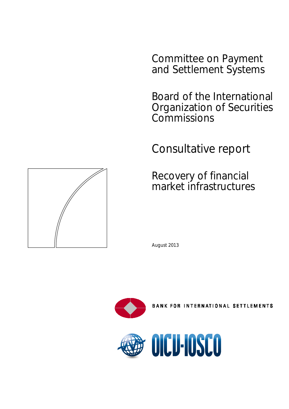Committee on Payment and Settlement Systems

Board of the International Organization of Securities **Commissions** 

Consultative report

Recovery of financial market infrastructures

August 2013



**BANK FOR INTERNATIONAL SETTLEMENTS** 



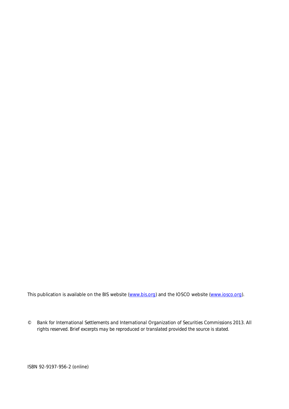This publication is available on the BIS website [\(www.bis.org\)](http://www.bis.org/) and the IOSCO website [\(www.iosco.org\)](http://www.iosco.org/).

*© Bank for International Settlements and International Organization of Securities Commissions 2013. All rights reserved. Brief excerpts may be reproduced or translated provided the source is stated.*

ISBN 92-9197-956-2 (online)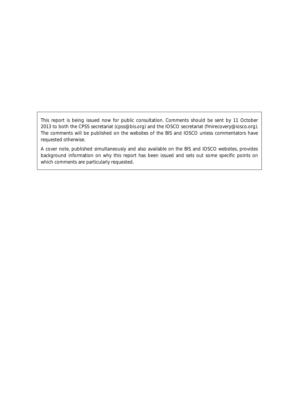This report is being issued now for public consultation. Comments should be sent by 11 October 2013 to both the CPSS secretariat (cpss@bis.org) and the IOSCO secretariat (fmirecovery@iosco.org). The comments will be published on the websites of the BIS and IOSCO unless commentators have requested otherwise.

A cover note, published simultaneously and also available on the BIS and IOSCO websites, provides background information on why this report has been issued and sets out some specific points on which comments are particularly requested.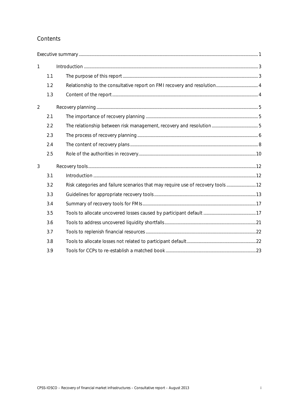# Contents

| $\mathbf{1}$   |     |                                                                                 |  |
|----------------|-----|---------------------------------------------------------------------------------|--|
|                | 1.1 |                                                                                 |  |
|                | 1.2 |                                                                                 |  |
|                | 1.3 |                                                                                 |  |
| $\overline{2}$ |     |                                                                                 |  |
|                | 2.1 |                                                                                 |  |
|                | 2.2 |                                                                                 |  |
|                | 2.3 |                                                                                 |  |
|                | 2.4 |                                                                                 |  |
|                | 2.5 |                                                                                 |  |
| 3              |     |                                                                                 |  |
|                | 3.1 |                                                                                 |  |
|                | 3.2 | Risk categories and failure scenarios that may require use of recovery tools 12 |  |
|                | 3.3 |                                                                                 |  |
|                | 3.4 |                                                                                 |  |
|                | 3.5 |                                                                                 |  |
|                | 3.6 |                                                                                 |  |
|                | 3.7 |                                                                                 |  |
|                | 3.8 |                                                                                 |  |
|                | 3.9 |                                                                                 |  |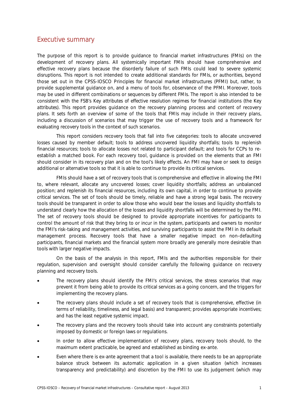# <span id="page-6-0"></span>Executive summary

The purpose of this report is to provide guidance to financial market infrastructures (FMIs) on the development of recovery plans. All systemically important FMIs should have comprehensive and effective recovery plans because the disorderly failure of such FMIs could lead to severe systemic disruptions. This report is not intended to create additional standards for FMIs, or authorities, beyond those set out in the CPSS-IOSCO *Principles for financial market infrastructures* (PFMI) but, rather, to provide supplemental guidance on, and a menu of tools for, observance of the PFMI. Moreover, tools may be used in different combinations or sequences by different FMIs. The report is also intended to be consistent with the FSB's *Key attributes of effective resolution regimes for financial institutions* (the *Key attributes*). This report provides guidance on the recovery planning process and content of recovery plans. It sets forth an overview of some of the tools that FMIs may include in their recovery plans, including a discussion of scenarios that may trigger the use of recovery tools and a framework for evaluating recovery tools in the context of such scenarios.

This report considers recovery tools that fall into five categories: tools to allocate uncovered losses caused by member default; tools to address uncovered liquidity shortfalls; tools to replenish financial resources; tools to allocate losses not related to participant default; and tools for CCPs to reestablish a matched book. For each recovery tool, guidance is provided on the elements that an FMI should consider in its recovery plan and on the tool's likely effects. An FMI may have or seek to design additional or alternative tools so that it is able to continue to provide its critical services.

FMIs should have a set of recovery tools that is comprehensive and effective in allowing the FMI to, where relevant, allocate any uncovered losses; cover liquidity shortfalls; address an unbalanced position; and replenish its financial resources, including its own capital, in order to continue to provide critical services. The set of tools should be timely, reliable and have a strong legal basis. The recovery tools should be transparent in order to allow those who would bear the losses and liquidity shortfalls to understand clearly how the allocation of the losses and liquidity shortfalls will be determined by the FMI. The set of recovery tools should be designed to provide appropriate incentives for participants to control the amount of risk that they bring to or incur in the system, participants and owners to monitor the FMI's risk-taking and management activities, and surviving participants to assist the FMI in its default management process. Recovery tools that have a smaller negative impact on non-defaulting participants, financial markets and the financial system more broadly are generally more desirable than tools with larger negative impacts.

On the basis of the analysis in this report, FMIs and the authorities responsible for their regulation, supervision and oversight should consider carefully the following guidance on recovery planning and recovery tools.

- The recovery plans should identify the FMI's critical services, the stress scenarios that may prevent it from being able to provide its critical services as a going concern, and the triggers for implementing the recovery plans.
- The recovery plans should include a set of recovery tools that is comprehensive, effective (in terms of reliability, timeliness, and legal basis) and transparent; provides appropriate incentives; and has the least negative systemic impact.
- The recovery plans and the recovery tools should take into account any constraints potentially imposed by domestic or foreign laws or regulations.
- In order to allow effective implementation of recovery plans, recovery tools should, to the maximum extent practicable, be agreed and established as binding ex-ante.
- Even where there is ex-ante agreement that a tool is available, there needs to be an appropriate balance struck between its automatic application in a given situation (which increases transparency and predictability) and discretion by the FMI to use its judgement (which may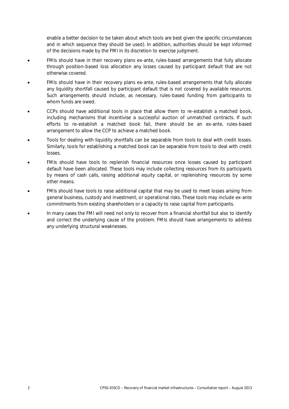enable a better decision to be taken about which tools are best given the specific circumstances and in which sequence they should be used). In addition, authorities should be kept informed of the decisions made by the FMI in its discretion to exercise judgment.

- FMIs should have in their recovery plans ex-ante, rules-based arrangements that fully allocate through position-based loss allocation any losses caused by participant default that are not otherwise covered.
- FMIs should have in their recovery plans ex-ante, rules-based arrangements that fully allocate any liquidity shortfall caused by participant default that is not covered by available resources. Such arrangements should include, as necessary, rules-based funding from participants to whom funds are owed.
- CCPs should have additional tools in place that allow them to re-establish a matched book, including mechanisms that incentivise a successful auction of unmatched contracts. If such efforts to re-establish a matched book fail, there should be an ex-ante, rules-based arrangement to allow the CCP to achieve a matched book.
- Tools for dealing with liquidity shortfalls can be separable from tools to deal with credit losses. Similarly, tools for establishing a matched book can be separable from tools to deal with credit losses.
- FMIs should have tools to replenish financial resources once losses caused by participant default have been allocated. These tools may include collecting resources from its participants by means of cash calls, raising additional equity capital, or replenishing resources by some other means.
- FMIs should have tools to raise additional capital that may be used to meet losses arising from general business, custody and investment, or operational risks. These tools may include ex-ante commitments from existing shareholders or a capacity to raise capital from participants.
- In many cases the FMI will need not only to recover from a financial shortfall but also to identify and correct the underlying cause of the problem. FMIs should have arrangements to address any underlying structural weaknesses.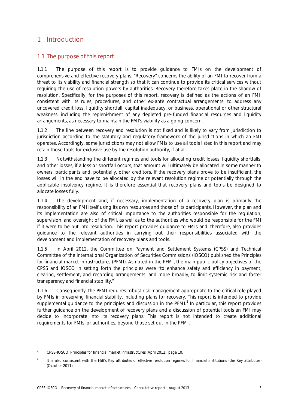# <span id="page-8-0"></span>1 Introduction

# <span id="page-8-1"></span>1.1 The purpose of this report

1.1.1 The purpose of this report is to provide guidance to FMIs on the development of comprehensive and effective recovery plans. "Recovery" concerns the ability of an FMI to recover from a threat to its viability and financial strength so that it can continue to provide its critical services without requiring the use of resolution powers by authorities. Recovery therefore takes place in the shadow of resolution. Specifically, for the purposes of this report, recovery is defined as the actions of an FMI, consistent with its rules, procedures, and other ex-ante contractual arrangements, to address any uncovered credit loss, liquidity shortfall, capital inadequacy, or business, operational or other structural weakness, including the replenishment of any depleted pre-funded financial resources and liquidity arrangements, as necessary to maintain the FMI's viability as a going concern.

1.1.2 The line between recovery and resolution is not fixed and is likely to vary from jurisdiction to jurisdiction according to the statutory and regulatory framework of the jurisdictions in which an FMI operates. Accordingly, some jurisdictions may not allow FMIs to use all tools listed in this report and may retain those tools for exclusive use by the resolution authority, if at all.

1.1.3 Notwithstanding the different regimes and tools for allocating credit losses, liquidity shortfalls, and other losses, if a loss or shortfall occurs, that amount will ultimately be allocated in some manner to owners, participants and, potentially, other creditors. If the recovery plans prove to be insufficient, the losses will in the end have to be allocated by the relevant resolution regime or potentially through the applicable insolvency regime. It is therefore essential that recovery plans and tools be designed to allocate losses fully.

1.1.4 The development and, if necessary, implementation of a recovery plan is primarily the responsibility of an FMI itself using its own resources and those of its participants. However, the plan and its implementation are also of critical importance to the authorities responsible for the regulation, supervision, and oversight of the FMI, as well as to the authorities who would be responsible for the FMI if it were to be put into resolution. This report provides guidance to FMIs and, therefore, also provides guidance to the relevant authorities in carrying out their responsibilities associated with the development and implementation of recovery plans and tools.

1.1.5 In April 2012, the Committee on Payment and Settlement Systems (CPSS) and Technical Committee of the International Organization of Securities Commissions (IOSCO) published *the Principles for financial market infrastructures* (PFMI). As noted in the PFMI, the main public policy objectives of the CPSS and IOSCO in setting forth the principles were "to enhance safety and efficiency in payment, clearing, settlement, and recording arrangements, and more broadly, to limit systemic risk and foster transparency and financial stability."<sup>[1](#page-8-2)</sup>

1.1.6 Consequently, the PFMI requires robust risk management appropriate to the critical role played by FMIs in preserving financial stability, including plans for recovery. This report is intended to provide supplemental quidance to the principles and discussion in the PFMI. $<sup>2</sup>$  $<sup>2</sup>$  $<sup>2</sup>$  In particular, this report provides</sup> further guidance on the development of recovery plans and a discussion of potential tools an FMI may decide to incorporate into its recovery plans. This report is not intended to create additional requirements for FMIs, or authorities, beyond those set out in the PFMI.

<span id="page-8-2"></span><sup>1</sup> CPSS-IOSCO, *Principles for financial market infrastructures* (April 2012), page 10.

<span id="page-8-3"></span><sup>2</sup> It is also consistent with the FSB's *Key attributes of effective resolution regimes for financial institutions* (the *Key attributes*) (October 2011).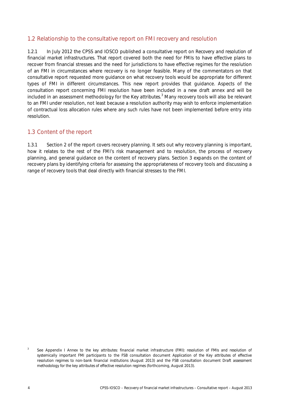## <span id="page-9-0"></span>1.2 Relationship to the consultative report on FMI recovery and resolution

1.2.1 In July 2012 the CPSS and IOSCO published a consultative report on *Recovery and resolution of financial market infrastructures*. That report covered both the need for FMIs to have effective plans to recover from financial stresses and the need for jurisdictions to have effective regimes for the resolution of an FMI in circumstances where recovery is no longer feasible. Many of the commentators on that consultative report requested more guidance on what recovery tools would be appropriate for different types of FMI in different circumstances. This new report provides that guidance. Aspects of the consultation report concerning FMI resolution have been included in a new draft annex and will be included in an assessment methodology for the *Key attributes*. [3](#page-9-2) Many recovery tools will also be relevant to an FMI under resolution, not least because a resolution authority may wish to enforce implementation of contractual loss allocation rules where any such rules have not been implemented before entry into resolution.

## <span id="page-9-1"></span>1.3 Content of the report

1.3.1 Section 2 of the report covers recovery planning. It sets out why recovery planning is important, how it relates to the rest of the FMI's risk management and to resolution, the process of recovery planning, and general guidance on the content of recovery plans. Section 3 expands on the content of recovery plans by identifying criteria for assessing the appropriateness of recovery tools and discussing a range of recovery tools that deal directly with financial stresses to the FMI.

<span id="page-9-2"></span>See Appendix I Annex to the key attributes: financial market infrastructure (FMI): resolution of FMIs and resolution of *systemically important FMI participants* to the FSB consultation document *Application of the Key attributes of effective resolution regimes to non-bank financial institutions* (August 2013) and the FSB consultation document *Draft assessment methodology for the key attributes of effective resolution regimes* (forthcoming, August 2013).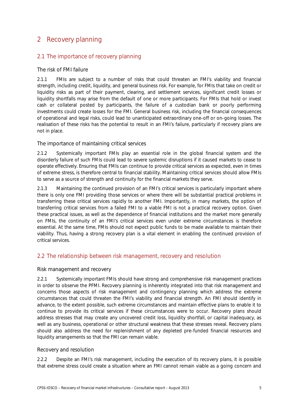# <span id="page-10-0"></span>2 Recovery planning

# <span id="page-10-1"></span>2.1 The importance of recovery planning

## The risk of FMI failure

2.1.1 FMIs are subject to a number of risks that could threaten an FMI's viability and financial strength, including credit, liquidity, and general business risk. For example, for FMIs that take on credit or liquidity risks as part of their payment, clearing, and settlement services, significant credit losses or liquidity shortfalls may arise from the default of one or more participants. For FMIs that hold or invest cash or collateral posted by participants, the failure of a custodian bank or poorly performing investments could create losses for the FMI. General business risk, including the financial consequences of operational and legal risks, could lead to unanticipated extraordinary one-off or on-going losses. The realisation of these risks has the potential to result in an FMI's failure, particularly if recovery plans are not in place.

## The importance of maintaining critical services

2.1.2 Systemically important FMIs play an essential role in the global financial system and the disorderly failure of such FMIs could lead to severe systemic disruptions if it caused markets to cease to operate effectively. Ensuring that FMIs can continue to provide critical services as expected, even in times of extreme stress, is therefore central to financial stability. Maintaining critical services should allow FMIs to serve as a source of strength and continuity for the financial markets they serve.

2.1.3 Maintaining the continued provision of an FMI's critical services is particularly important where there is only one FMI providing those services or where there will be substantial practical problems in transferring these critical services rapidly to another FMI. Importantly, in many markets, the option of transferring critical services from a failed FMI to a viable FMI is not a practical recovery option. Given these practical issues, as well as the dependence of financial institutions and the market more generally on FMIs, the continuity of an FMI's critical services even under extreme circumstances is therefore essential. At the same time, FMIs should not expect public funds to be made available to maintain their viability. Thus, having a strong recovery plan is a vital element in enabling the continued provision of critical services.

## <span id="page-10-2"></span>2.2 The relationship between risk management, recovery and resolution

## Risk management and recovery

2.2.1 Systemically important FMIs should have strong and comprehensive risk management practices in order to observe the PFMI. Recovery planning is inherently integrated into that risk management and concerns those aspects of risk management and contingency planning which address the extreme circumstances that could threaten the FMI's viability and financial strength. An FMI should identify in advance, to the extent possible, such extreme circumstances and maintain effective plans to enable it to continue to provide its critical services if these circumstances were to occur. Recovery plans should address stresses that may create any uncovered credit loss, liquidity shortfall, or capital inadequacy, as well as any business, operational or other structural weakness that these stresses reveal. Recovery plans should also address the need for replenishment of any depleted pre-funded financial resources and liquidity arrangements so that the FMI can remain viable.

#### Recovery and resolution

2.2.2 Despite an FMI's risk management, including the execution of its recovery plans, it is possible that extreme stress could create a situation where an FMI cannot remain viable as a going concern and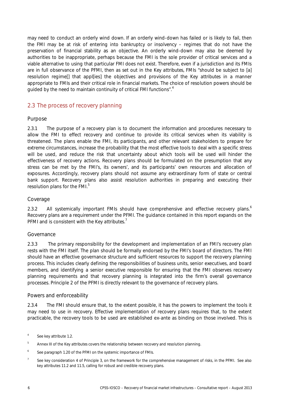may need to conduct an orderly wind down. If an orderly wind-down has failed or is likely to fail, then the FMI may be at risk of entering into bankruptcy or insolvency – regimes that do not have the preservation of financial stability as an objective. An orderly wind-down may also be deemed by authorities to be inappropriate, perhaps because the FMI is the sole provider of critical services and a viable alternative to using that particular FMI does not exist. Therefore, even if a jurisdiction and its FMIs are in full observance of the PFMI, then as set out in the *Key attributes*, FMIs "should be subject to [a] resolution regime[] that appl[ies] the objectives and provisions of the *Key attributes* in a manner appropriate to FMIs and their critical role in financial markets. The choice of resolution powers should be guided by the need to maintain continuity of critical FMI functions".<sup>[4](#page-11-1)</sup>

# <span id="page-11-0"></span>2.3 The process of recovery planning

#### Purpose

2.3.1 The purpose of a recovery plan is to document the information and procedures necessary to allow the FMI to effect recovery and continue to provide its critical services when its viability is threatened. The plans enable the FMI, its participants, and other relevant stakeholders to prepare for extreme circumstances, increase the probability that the most effective tools to deal with a specific stress will be used, and reduce the risk that uncertainty about which tools will be used will hinder the effectiveness of recovery actions. Recovery plans should be formulated on the presumption that any stress can be met by the FMI's, its owners', and its participants' own resources and allocation of exposures. Accordingly, recovery plans should not assume any extraordinary form of state or central bank support. Recovery plans also assist resolution authorities in preparing and executing their resolution plans for the FMI.<sup>[5](#page-11-2)</sup>

## Coverage

2.3.2 All systemically important FMIs should have comprehensive and effective recovery plans.<sup>[6](#page-11-3)</sup> Recovery plans are a requirement under the PFMI. The guidance contained in this report expands on the PFMI and is consistent with the *Key attributes*. [7](#page-11-4)

#### Governance

2.3.3 The primary responsibility for the development and implementation of an FMI's recovery plan rests with the FMI itself. The plan should be formally endorsed by the FMI's board of directors. The FMI should have an effective governance structure and sufficient resources to support the recovery planning process. This includes clearly defining the responsibilities of business units, senior executives, and board members, and identifying a senior executive responsible for ensuring that the FMI observes recovery planning requirements and that recovery planning is integrated into the firm's overall governance processes. Principle 2 of the PFMI is directly relevant to the governance of recovery plans.

#### Powers and enforceability

2.3.4 The FMI should ensure that, to the extent possible, it has the powers to implement the tools it may need to use in recovery. Effective implementation of recovery plans requires that, to the extent practicable, the recovery tools to be used are established ex-ante as binding on those involved. This is

<span id="page-11-1"></span><sup>4</sup> See key attribute 1.2.

<span id="page-11-2"></span><sup>5</sup> Annex III of the *Key attributes* covers the relationship between recovery and resolution planning.

<span id="page-11-3"></span><sup>&</sup>lt;sup>6</sup> See paragraph 1.20 of the PFMI on the systemic importance of FMIs.

<span id="page-11-4"></span><sup>&</sup>lt;sup>7</sup> See key consideration 4 of Principle 3, on the framework for the comprehensive management of risks, in the PFMI. See also key attributes 11.2 and 11.5, calling for robust and credible recovery plans.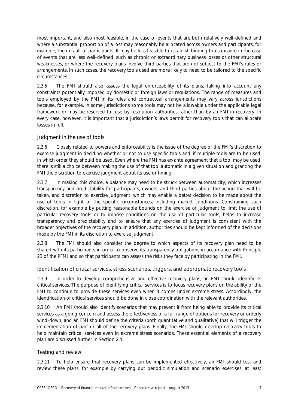most important, and also most feasible, in the case of events that are both relatively well-defined and where a substantial proportion of a loss may reasonably be allocated across owners and participants, for example, the default of participants. It may be less feasible to establish binding tools ex ante in the case of events that are less well-defined, such as chronic or extraordinary business losses or other structural weaknesses, or where the recovery plans involve third parties that are not subject to the FMI's rules or arrangements. In such cases, the recovery tools used are more likely to need to be tailored to the specific circumstances.

2.3.5 The FMI should also assess the legal enforceability of its plans, taking into account any constraints potentially imposed by domestic or foreign laws or regulations. The range of measures and tools employed by the FMI in its rules and contractual arrangements may vary across jurisdictions because, for example, in some jurisdictions some tools may not be allowable under the applicable legal framework or may be reserved for use by resolution authorities rather than by an FMI in recovery. In every case, however, it is important that a jurisdiction's laws permit for recovery tools that can allocate losses in full.

## Judgment in the use of tools

2.3.6 Closely related to powers and enforceability is the issue of the degree of the FMI's discretion to exercise judgment in deciding whether or not to use specific tools and, if multiple tools are to be used, in which order they should be used. Even where the FMI has ex-ante agreement that a tool may be used, there is still a choice between making the use of that tool automatic in a given situation and granting the FMI the discretion to exercise judgment about its use or timing.

2.3.7 In making this choice, a balance may need to be struck between automaticity, which increases transparency and predictability for participants, owners, and third parties about the action that will be taken, and discretion to exercise judgment, which may enable a better decision to be made about the use of tools in light of the specific circumstances, including market conditions. Constraining such discretion, for example by putting reasonable bounds on the exercise of judgment to limit the use of particular recovery tools or to impose conditions on the use of particular tools, helps to increase transparency and predictability and to ensure that any exercise of judgment is consistent with the broader objectives of the recovery plan. In addition, authorities should be kept informed of the decisions made by the FMI in its discretion to exercise judgment.

2.3.8 The FMI should also consider the degree to which aspects of its recovery plan need to be shared with its participants in order to observe its transparency obligations in accordance with Principle 23 of the PFMI and so that participants can assess the risks they face by participating in the FMI.

#### Identification of critical services, stress scenarios, triggers, and appropriate recovery tools

2.3.9 In order to develop comprehensive and effective recovery plans, an FMI should identify its critical services. The purpose of identifying critical services is to focus recovery plans on the ability of the FMI to continue to provide these services even when it comes under extreme stress. Accordingly, the identification of critical services should be done in close coordination with the relevant authorities.

2.3.10 An FMI should also identify scenarios that may prevent it from being able to provide its critical services as a going concern and assess the effectiveness of a full range of options for recovery or orderly wind-down, and an FMI should define the criteria (both quantitative and qualitative) that will trigger the implementation of part or all of the recovery plans. Finally, the FMI should develop recovery tools to help maintain critical services even in extreme stress scenarios. These essential elements of a recovery plan are discussed further in Section 2.4.

#### Testing and review

2.3.11 To help ensure that recovery plans can be implemented effectively, an FMI should test and review these plans, for example by carrying out periodic simulation and scenario exercises, at least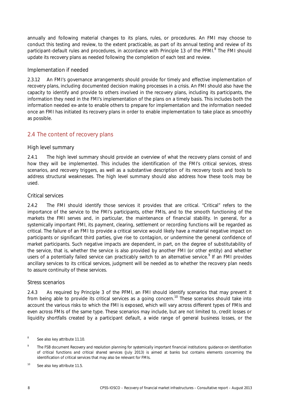annually and following material changes to its plans, rules, or procedures. An FMI may choose to conduct this testing and review, to the extent practicable, as part of its annual testing and review of its participant-default rules and procedures, in accordance with Principle 13 of the PFMI.<sup>[8](#page-13-1)</sup> The FMI should update its recovery plans as needed following the completion of each test and review.

## Implementation if needed

2.3.12 An FMI's governance arrangements should provide for timely and effective implementation of recovery plans, including documented decision making processes in a crisis. An FMI should also have the capacity to identify and provide to others involved in the recovery plans, including its participants, the information they need in the FMI's implementation of the plans on a timely basis. This includes both the information needed ex-ante to enable others to prepare for implementation and the information needed once an FMI has initiated its recovery plans in order to enable implementation to take place as smoothly as possible.

# <span id="page-13-0"></span>2.4 The content of recovery plans

## High level summary

2.4.1 The high level summary should provide an overview of what the recovery plans consist of and how they will be implemented. This includes the identification of the FMI's critical services, stress scenarios, and recovery triggers, as well as a substantive description of its recovery tools and tools to address structural weaknesses. The high level summary should also address how these tools may be used.

## Critical services

2.4.2 The FMI should identify those services it provides that are critical. "Critical" refers to the importance of the service to the FMI's participants, other FMIs, and to the smooth functioning of the markets the FMI serves and, in particular, the maintenance of financial stability. In general, for a systemically important FMI, its payment, clearing, settlement or recording functions will be regarded as critical. The failure of an FMI to provide a critical service would likely have a material negative impact on participants or significant third parties, give rise to contagion, or undermine the general confidence of market participants. Such negative impacts are dependent, in part, on the degree of substitutability of the service, that is, whether the service is also provided by another FMI (or other entity) and whether users of a potentially failed service can practicably switch to an alternative service.<sup>[9](#page-13-2)</sup> If an FMI provides ancillary services to its critical services, judgment will be needed as to whether the recovery plan needs to assure continuity of these services.

## Stress scenarios

2.4.3 As required by Principle 3 of the PFMI, an FMI should identify scenarios that may prevent it from being able to provide its critical services as a going concern.<sup>[10](#page-13-3)</sup> These scenarios should take into account the various risks to which the FMI is exposed, which will vary across different types of FMIs and even across FMIs of the same type. These scenarios may include, but are not limited to, credit losses or liquidity shortfalls created by a participant default, a wide range of general business losses, or the

<span id="page-13-1"></span><sup>&</sup>lt;sup>8</sup> See also key attribute 11.10.

<span id="page-13-2"></span><sup>9</sup> The FSB document *Recovery and resolution planning for systemically important financial institutions: guidance on identification of critical functions and critical shared services* (July 2013) is aimed at banks but contains elements concerning the identification of critical services that may also be relevant for FMIs.

<span id="page-13-3"></span><sup>&</sup>lt;sup>10</sup> See also key attribute 11.5.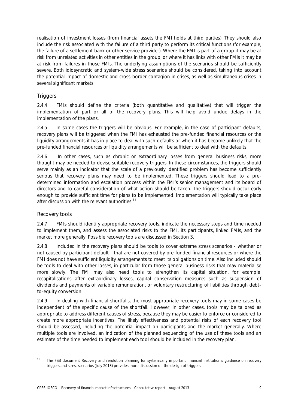realisation of investment losses (from financial assets the FMI holds at third parties). They should also include the risk associated with the failure of a third party to perform its critical functions (for example, the failure of a settlement bank or other service provider). Where the FMI is part of a group it may be at risk from unrelated activities in other entities in the group, or where it has links with other FMIs it may be at risk from failures in those FMIs. The underlying assumptions of the scenarios should be sufficiently severe. Both idiosyncratic and system-wide stress scenarios should be considered, taking into account the potential impact of domestic and cross-border contagion in crises, as well as simultaneous crises in several significant markets.

## **Triggers**

2.4.4 FMIs should define the criteria (both quantitative and qualitative) that will trigger the implementation of part or all of the recovery plans. This will help avoid undue delays in the implementation of the plans.

2.4.5 In some cases the triggers will be obvious. For example, in the case of participant defaults, recovery plans will be triggered when the FMI has exhausted the pre-funded financial resources or the liquidity arrangements it has in place to deal with such defaults or when it has become unlikely that the pre-funded financial resources or liquidity arrangements will be sufficient to deal with the defaults.

2.4.6 In other cases, such as chronic or extraordinary losses from general business risks, more thought may be needed to devise suitable recovery triggers. In these circumstances, the triggers should serve mainly as an indicator that the scale of a previously identified problem has become sufficiently serious that recovery plans may need to be implemented. These triggers should lead to a predetermined information and escalation process within the FMI's senior management and its board of directors and to careful consideration of what action should be taken. The triggers should occur early enough to provide sufficient time for plans to be implemented. Implementation will typically take place after discussion with the relevant authorities.<sup>[11](#page-14-0)</sup>

## Recovery tools

2.4.7 FMIs should identify appropriate recovery tools, indicate the necessary steps and time needed to implement them, and assess the associated risks to the FMI, its participants, linked FMIs, and the market more generally. Possible recovery tools are discussed in Section 3.

2.4.8 Included in the recovery plans should be tools to cover extreme stress scenarios - whether or not caused by participant default - that are not covered by pre-funded financial resources or where the FMI does not have sufficient liquidity arrangements to meet its obligations on time. Also included should be tools to deal with other losses, in particular from those general business risks that may materialise more slowly. The FMI may also need tools to strengthen its capital situation, for example, recapitalisations after extraordinary losses, capital conservation measures such as suspension of dividends and payments of variable remuneration, or voluntary restructuring of liabilities through debtto-equity conversion.

2.4.9 In dealing with financial shortfalls, the most appropriate recovery tools may in some cases be independent of the specific cause of the shortfall. However, in other cases, tools may be tailored as appropriate to address different causes of stress, because they may be easier to enforce or considered to create more appropriate incentives. The likely effectiveness and potential risks of each recovery tool should be assessed, including the potential impact on participants and the market generally. Where multiple tools are involved, an indication of the planned sequencing of the use of these tools and an estimate of the time needed to implement each tool should be included in the recovery plan.

<span id="page-14-0"></span><sup>11</sup> The FSB document *Recovery and resolution planning for systemically important financial institutions: guidance on recovery triggers and stress scenarios* (July 2013) provides more discussion on the design of triggers.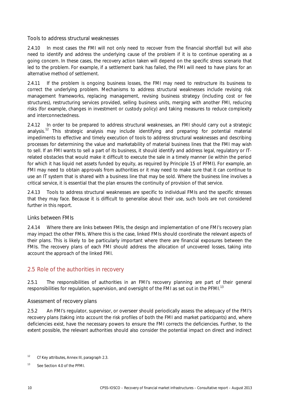Tools to address structural weaknesses

2.4.10 In most cases the FMI will not only need to recover from the financial shortfall but will also need to identify and address the underlying cause of the problem if it is to continue operating as a going concern. In these cases, the recovery action taken will depend on the specific stress scenario that led to the problem. For example, if a settlement bank has failed, the FMI will need to have plans for an alternative method of settlement.

2.4.11 If the problem is ongoing business losses, the FMI may need to restructure its business to correct the underlying problem. Mechanisms to address structural weaknesses include revising risk management frameworks, replacing management, revising business strategy (including cost or fee structures), restructuring services provided, selling business units, merging with another FMI, reducing risks (for example, changes in investment or custody policy) and taking measures to reduce complexity and interconnectedness.

2.4.12 In order to be prepared to address structural weaknesses, an FMI should carry out a strategic analysis.<sup>[12](#page-15-1)</sup> This strategic analysis may include identifying and preparing for potential material impediments to effective and timely execution of tools to address structural weaknesses and describing processes for determining the value and marketability of material business lines that the FMI may wish to sell. If an FMI wants to sell a part of its business, it should identify and address legal, regulatory or ITrelated obstacles that would make it difficult to execute the sale in a timely manner (ie within the period for which it has liquid net assets funded by equity, as required by Principle 15 of PFMI). For example, an FMI may need to obtain approvals from authorities or it may need to make sure that it can continue to use an IT system that is shared with a business line that may be sold. Where the business line involves a critical service, it is essential that the plan ensures the continuity of provision of that service.

2.4.13 Tools to address structural weaknesses are specific to individual FMIs and the specific stresses that they may face. Because it is difficult to generalise about their use, such tools are not considered further in this report.

## Links between FMIs

2.4.14 Where there are links between FMIs, the design and implementation of one FMI's recovery plan may impact the other FMIs. Where this is the case, linked FMIs should coordinate the relevant aspects of their plans. This is likely to be particularly important where there are financial exposures between the FMIs. The recovery plans of each FMI should address the allocation of uncovered losses, taking into account the approach of the linked FMI.

## <span id="page-15-0"></span>2.5 Role of the authorities in recovery

2.5.1 The responsibilities of authorities in an FMI's recovery planning are part of their general responsibilities for regulation, supervision, and oversight of the FMI as set out in the PFMI.<sup>[13](#page-15-2)</sup>

#### Assessment of recovery plans

2.5.2 An FMI's regulator, supervisor, or overseer should periodically assess the adequacy of the FMI's recovery plans (taking into account the risk profiles of both the FMI and market participants) and, where deficiencies exist, have the necessary powers to ensure the FMI corrects the deficiencies. Further, to the extent possible, the relevant authorities should also consider the potential impact on direct and indirect

<span id="page-15-1"></span><sup>12</sup> Cf *Key attributes*, Annex III, paragraph 2.3.

<span id="page-15-2"></span><sup>&</sup>lt;sup>13</sup> See Section 4.0 of the PFMI.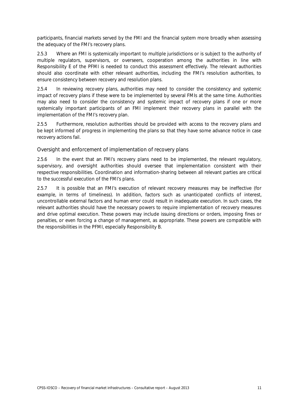participants, financial markets served by the FMI and the financial system more broadly when assessing the adequacy of the FMI's recovery plans.

2.5.3 Where an FMI is systemically important to multiple jurisdictions or is subject to the authority of multiple regulators, supervisors, or overseers, cooperation among the authorities in line with Responsibility E of the PFMI is needed to conduct this assessment effectively. The relevant authorities should also coordinate with other relevant authorities, including the FMI's resolution authorities, to ensure consistency between recovery and resolution plans.

2.5.4 In reviewing recovery plans, authorities may need to consider the consistency and systemic impact of recovery plans if these were to be implemented by several FMIs at the same time. Authorities may also need to consider the consistency and systemic impact of recovery plans if one or more systemically important participants of an FMI implement their recovery plans in parallel with the implementation of the FMI's recovery plan.

2.5.5 Furthermore, resolution authorities should be provided with access to the recovery plans and be kept informed of progress in implementing the plans so that they have some advance notice in case recovery actions fail.

Oversight and enforcement of implementation of recovery plans

2.5.6 In the event that an FMI's recovery plans need to be implemented, the relevant regulatory, supervisory, and oversight authorities should oversee that implementation consistent with their respective responsibilities. Coordination and information-sharing between all relevant parties are critical to the successful execution of the FMI's plans.

2.5.7 It is possible that an FMI's execution of relevant recovery measures may be ineffective (for example, in terms of timeliness). In addition, factors such as unanticipated conflicts of interest, uncontrollable external factors and human error could result in inadequate execution. In such cases, the relevant authorities should have the necessary powers to require implementation of recovery measures and drive optimal execution. These powers may include issuing directions or orders, imposing fines or penalties, or even forcing a change of management, as appropriate. These powers are compatible with the responsibilities in the PFMI, especially Responsibility B.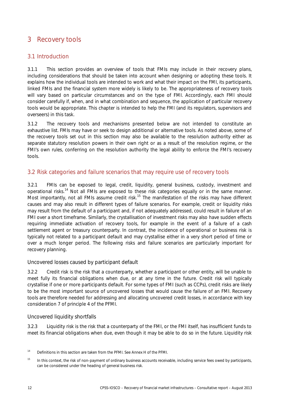# <span id="page-17-0"></span>3 Recovery tools

# <span id="page-17-1"></span>3.1 Introduction

3.1.1 This section provides an overview of tools that FMIs may include in their recovery plans, including considerations that should be taken into account when designing or adopting these tools. It explains how the individual tools are intended to work and what their impact on the FMI, its participants, linked FMIs and the financial system more widely is likely to be. The appropriateness of recovery tools will vary based on particular circumstances and on the type of FMI. Accordingly, each FMI should consider carefully if, when, and in what combination and sequence, the application of particular recovery tools would be appropriate. This chapter is intended to help the FMI (and its regulators, supervisors and overseers) in this task.

3.1.2 The recovery tools and mechanisms presented below are not intended to constitute an exhaustive list. FMIs may have or seek to design additional or alternative tools. As noted above, some of the recovery tools set out in this section may also be available to the resolution authority either as separate statutory resolution powers in their own right or as a result of the resolution regime, or the FMI's own rules, conferring on the resolution authority the legal ability to enforce the FMI's recovery tools.

# <span id="page-17-2"></span>3.2 Risk categories and failure scenarios that may require use of recovery tools

3.2.1 FMIs can be exposed to legal, credit, liquidity, general business, custody, investment and operational risks.[14](#page-17-3) Not all FMIs are exposed to these risk categories equally or in the same manner. Most importantly, not all FMIs assume credit risk.<sup>[15](#page-17-4)</sup> The manifestation of the risks may have different causes and may also result in different types of failure scenarios. For example, credit or liquidity risks may result from the default of a participant and, if not adequately addressed, could result in failure of an FMI over a short timeframe. Similarly, the crystallisation of investment risks may also have sudden effects requiring immediate activation of recovery tools, for example in the event of a failure of a cash settlement agent or treasury counterparty. In contrast, the incidence of operational or business risk is typically not related to a participant default and may crystallise either in a very short period of time or over a much longer period. The following risks and failure scenarios are particularly important for recovery planning.

## Uncovered losses caused by participant default

3.2.2 Credit risk is the risk that a counterparty, whether a participant or other entity, will be unable to meet fully its financial obligations when due, or at any time in the future. Credit risk will typically crystallise if one or more participants default. For some types of FMI (such as CCPs), credit risks are likely to be the most important source of uncovered losses that would cause the failure of an FMI. Recovery tools are therefore needed for addressing and allocating uncovered credit losses, in accordance with key consideration 7 of principle 4 of the PFMI.

## Uncovered liquidity shortfalls

3.2.3 Liquidity risk is the risk that a counterparty of the FMI, or the FMI itself, has insufficient funds to meet its financial obligations when due, even though it may be able to do so in the future. Liquidity risk

<span id="page-17-3"></span><sup>&</sup>lt;sup>14</sup> Definitions in this section are taken from the PFMI. See Annex H of the PFMI.

<span id="page-17-4"></span><sup>&</sup>lt;sup>15</sup> In this context, the risk of non-payment of ordinary business accounts receivable, including service fees owed by participants, can be considered under the heading of general business risk.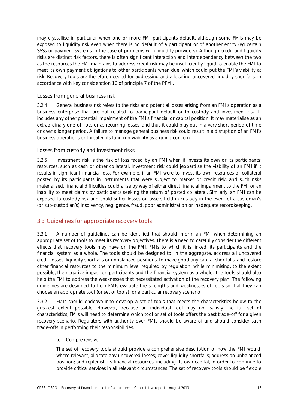may crystallise in particular when one or more FMI participants default, although some FMIs may be exposed to liquidity risk even when there is no default of a participant or of another entity (eg certain SSSs or payment systems in the case of problems with liquidity providers). Although credit and liquidity risks are distinct risk factors, there is often significant interaction and interdependency between the two as the resources the FMI maintains to address credit risk may be insufficiently liquid to enable the FMI to meet its own payment obligations to other participants when due, which could put the FMI's viability at risk. Recovery tools are therefore needed for addressing and allocating uncovered liquidity shortfalls, in accordance with key consideration 10 of principle 7 of the PFMI.

#### Losses from general business risk

3.2.4 General business risk refers to the risks and potential losses arising from an FMI's operation as a business enterprise that are not related to participant default or to custody and investment risk. It includes any other potential impairment of the FMI's financial or capital position. It may materialise as an extraordinary one-off loss or as recurring losses, and thus it could play out in a very short period of time or over a longer period. A failure to manage general business risk could result in a disruption of an FMI's business operations or threaten its long run viability as a going concern.

#### Losses from custody and investment risks

3.2.5 Investment risk is the risk of loss faced by an FMI when it invests its own or its participants' resources, such as cash or other collateral. Investment risk could jeopardise the viability of an FMI if it results in significant financial loss. For example, if an FMI were to invest its own resources or collateral posted by its participants in instruments that were subject to market or credit risk, and such risks materialised, financial difficulties could arise by way of either direct financial impairment to the FMI or an inability to meet claims by participants seeking the return of posted collateral. Similarly, an FMI can be exposed to custody risk and could suffer losses on assets held in custody in the event of a custodian's (or sub-custodian's) insolvency, negligence, fraud, poor administration or inadequate recordkeeping.

## <span id="page-18-0"></span>3.3 Guidelines for appropriate recovery tools

3.3.1 A number of guidelines can be identified that should inform an FMI when determining an appropriate set of tools to meet its recovery objectives. There is a need to carefully consider the different effects that recovery tools may have on the FMI, FMIs to which it is linked, its participants and the financial system as a whole. The tools should be designed to, in the aggregate, address all uncovered credit losses, liquidity shortfalls or unbalanced positions, to make good any capital shortfalls, and restore other financial resources to the minimum level required by regulation, while minimising, to the extent possible, the negative impact on participants and the financial system as a whole. The tools should also help the FMI to address the weaknesses that necessitated activation of the recovery plan. The following guidelines are designed to help FMIs evaluate the strengths and weaknesses of tools so that they can choose an appropriate tool (or set of tools) for a particular recovery scenario.

3.3.2 FMIs should endeavour to develop a set of tools that meets the characteristics below to the greatest extent possible. However, because an individual tool may not satisfy the full set of characteristics, FMIs will need to determine which tool or set of tools offers the best trade-off for a given recovery scenario. Regulators with authority over FMIs should be aware of and should consider such trade-offs in performing their responsibilities.

#### *(i) Comprehensive*

The set of recovery tools should provide a comprehensive description of how the FMI would, where relevant, allocate any uncovered losses; cover liquidity shortfalls; address an unbalanced position; and replenish its financial resources, including its own capital, in order to continue to provide critical services in all relevant circumstances. The set of recovery tools should be flexible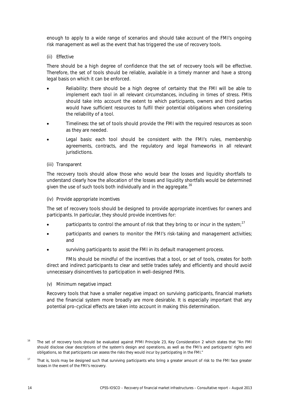enough to apply to a wide range of scenarios and should take account of the FMI's ongoing risk management as well as the event that has triggered the use of recovery tools.

#### *(ii) Effective*

There should be a high degree of confidence that the set of recovery tools will be effective. Therefore, the set of tools should be reliable, available in a timely manner and have a strong legal basis on which it can be enforced.

- *Reliability:* there should be a high degree of certainty that the FMI will be able to implement each tool in all relevant circumstances, including in times of stress. FMIs should take into account the extent to which participants, owners and third parties would have sufficient resources to fulfil their potential obligations when considering the reliability of a tool.
- *Timeliness:* the set of tools should provide the FMI with the required resources as soon as they are needed.
- Legal basis: each tool should be consistent with the FMI's rules, membership agreements, contracts, and the regulatory and legal frameworks in all relevant jurisdictions.

#### *(iii) Transparent*

The recovery tools should allow those who would bear the losses and liquidity shortfalls to understand clearly how the allocation of the losses and liquidity shortfalls would be determined given the use of such tools both individually and in the aggregate.<sup>[16](#page-19-0)</sup>

#### *(iv) Provide appropriate incentives*

The set of recovery tools should be designed to provide appropriate incentives for owners and participants. In particular, they should provide incentives for:

- participants to control the amount of risk that they bring to or incur in the system;<sup>[17](#page-19-1)</sup>
- participants and owners to monitor the FMI's risk-taking and management activities; and
- surviving participants to assist the FMI in its default management process.

FMIs should be mindful of the incentives that a tool, or set of tools, creates for both direct and indirect participants to clear and settle trades safely and efficiently and should avoid unnecessary disincentives to participation in well-designed FMIs.

#### *(v) Minimum negative impact*

Recovery tools that have a smaller negative impact on surviving participants, financial markets and the financial system more broadly are more desirable. It is especially important that any potential pro-cyclical effects are taken into account in making this determination.

<span id="page-19-0"></span><sup>&</sup>lt;sup>16</sup> The set of recovery tools should be evaluated against PFMI Principle 23, Key Consideration 2 which states that "An FMI should disclose clear descriptions of the system's design and operations, as well as the FMI's and participants' rights and obligations, so that participants can assess the risks they would incur by participating in the FMI."

<span id="page-19-1"></span><sup>&</sup>lt;sup>17</sup> That is, tools may be designed such that surviving participants who bring a greater amount of risk to the FMI face greater losses in the event of the FMI's recovery.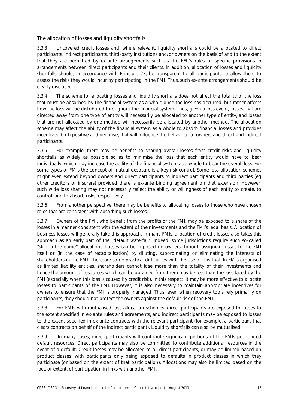The allocation of losses and liquidity shortfalls

3.3.3 Uncovered credit losses and, where relevant, liquidity shortfalls could be allocated to direct participants, indirect participants, third-party institutions and/or owners on the basis of and to the extent that they are permitted by ex-ante arrangements such as the FMI's rules or specific provisions in arrangements between direct participants and their clients. In addition, allocation of losses and liquidity shortfalls should, in accordance with Principle 23, be transparent to all participants to allow them to assess the risks they would incur by participating in the FMI. Thus, such ex-ante arrangements should be clearly disclosed.

3.3.4 The scheme for allocating losses and liquidity shortfalls does not affect the totality of the loss that must be absorbed by the financial system as a whole once the loss has occurred, but rather affects how the loss will be distributed throughout the financial system. Thus, given a loss event, losses that are directed away from one type of entity will necessarily be allocated to another type of entity, and losses that are not allocated by one method will necessarily be allocated by another method. The allocation scheme may affect the ability of the financial system as a whole to absorb financial losses and provides incentives, both positive and negative, that will influence the behaviour of owners and direct and indirect participants.

3.3.5 For example, there may be benefits to sharing overall losses from credit risks and liquidity shortfalls as widely as possible so as to minimise the loss that each entity would have to bear individually, which may increase the ability of the financial system as a whole to bear the overall loss. For some types of FMIs the concept of mutual exposure is a key risk control. Some loss-allocation schemes might even extend beyond owners and direct participants to indirect participants and third parties (eg other creditors or insurers) provided there is ex-ante binding agreement on that extension. However, such wide loss sharing may not necessarily reflect the ability or willingness of each entity to create, to control, and to absorb risks, respectively.

3.3.6 From another perspective, there may be benefits to allocating losses to those who have chosen roles that are consistent with absorbing such losses.

3.3.7 Owners of the FMI, who benefit from the profits of the FMI, may be exposed to a share of the losses in a manner consistent with the extent of their investments and the FMI's legal basis. Allocation of business losses will generally take this approach. In many FMIs, allocation of credit losses also takes this approach as an early part of the "default waterfall"; indeed, some jurisdictions require such so-called "skin in the game" allocations. Losses can be imposed on owners through assigning losses to the FMI itself or (in the case of recapitalisation) by diluting, subordinating or eliminating the interests of shareholders in the FMI. There are some practical difficulties with the use of this tool. In FMIs organised as limited liability entities, shareholders cannot lose more than the totality of their investments and hence the amount of resources which can be obtained from them may be less than the loss faced by the FMI (especially when this loss is caused by credit risk). In this respect, it may be more effective to allocate losses to participants of the FMI. However, it is also necessary to maintain appropriate incentives for owners to ensure that the FMI is properly managed. Thus, even when recovery tools rely primarily on participants, they should not protect the owners against the default risk of the FMI.

3.3.8 For FMIs with mutualised loss allocation schemes, direct participants are exposed to losses to the extent specified in ex-ante rules and agreements, and indirect participants may be exposed to losses to the extent specified in ex-ante contracts with the relevant participant (for example, a participant that clears contracts on behalf of the indirect participant). Liquidity shortfalls can also be mutualised.

3.3.9 In many cases, direct participants will contribute significant portions of the FMIs pre-funded default resources. Direct participants may also be committed to contribute additional resources in the event of a default. Credit losses may be allocated to all direct participants, or may be limited based on product classes, with participants only being exposed to defaults in product classes in which they participate (or based on the extent of that participation). Allocations may also be limited based on the fact, or extent, of participation in links with another FMI.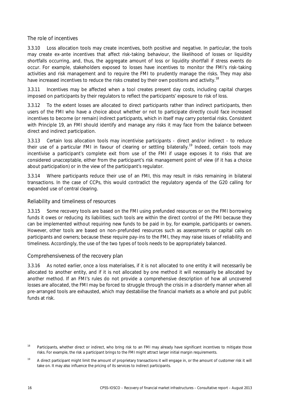#### The role of incentives

3.3.10 Loss allocation tools may create incentives, both positive and negative. In particular, the tools may create ex-ante incentives that affect risk-taking behaviour, the likelihood of losses or liquidity shortfalls occurring, and, thus, the aggregate amount of loss or liquidity shortfall if stress events do occur. For example, stakeholders exposed to losses have incentives to monitor the FMI's risk-taking activities and risk management and to require the FMI to prudently manage the risks. They may also have increased incentives to reduce the risks created by their own positions and activity.<sup>[18](#page-21-0)</sup>

3.3.11 Incentives may be affected when a tool creates present day costs, including capital charges imposed on participants by their regulators to reflect the participants' exposure to risk of loss.

3.3.12 To the extent losses are allocated to direct participants rather than indirect participants, then users of the FMI who have a choice about whether or not to participate directly could face increased incentives to become (or remain) indirect participants, which in itself may carry potential risks. Consistent with Principle 19, an FMI should identify and manage any risks it may face from the balance between direct and indirect participation.

3.3.13 Certain loss allocation tools may incentivise participants - direct and/or indirect - to reduce their use of a particular FMI in favour of clearing or settling bilaterally.<sup>[19](#page-21-1)</sup> Indeed, certain tools may incentivise a participant's complete exit from use of the FMI if usage exposes it to risks that are considered unacceptable, either from the participant's risk management point of view (if it has a choice about participation) or in the view of the participant's regulator.

3.3.14 Where participants reduce their use of an FMI, this may result in risks remaining in bilateral transactions. In the case of CCPs, this would contradict the regulatory agenda of the G20 calling for expanded use of central clearing.

#### Reliability and timeliness of resources

3.3.15 Some recovery tools are based on the FMI using prefunded resources or on the FMI borrowing funds it owes or reducing its liabilities; such tools are within the direct control of the FMI because they can be implemented without requiring new funds to be paid in by, for example, participants or owners. However, other tools are based on non-prefunded resources such as assessments or capital calls on participants and owners; because these require pay-ins to the FMI, they may raise issues of reliability and timeliness. Accordingly, the use of the two types of tools needs to be appropriately balanced.

#### Comprehensiveness of the recovery plan

3.3.16 As noted earlier, once a loss materialises, if it is not allocated to one entity it will necessarily be allocated to another entity, and if it is not allocated by one method it will necessarily be allocated by another method. If an FMI's rules do not provide a comprehensive description of how all uncovered losses are allocated, the FMI may be forced to struggle through the crisis in a disorderly manner when all pre-arranged tools are exhausted, which may destabilise the financial markets as a whole and put public funds at risk.

<span id="page-21-0"></span><sup>&</sup>lt;sup>18</sup> Participants, whether direct or indirect, who bring risk to an FMI may already have significant incentives to mitigate those risks. For example, the risk a participant brings to the FMI might attract larger initial margin requirements.

<span id="page-21-1"></span><sup>&</sup>lt;sup>19</sup> A direct participant might limit the amount of proprietary transactions it will engage in, or the amount of customer risk it will take on. It may also influence the pricing of its services to indirect participants.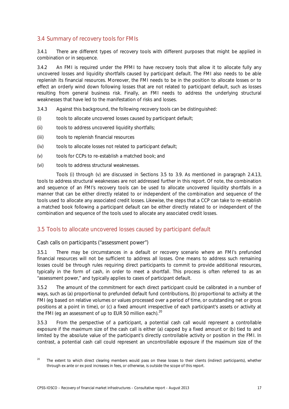# <span id="page-22-0"></span>3.4 Summary of recovery tools for FMIs

3.4.1 There are different types of recovery tools with different purposes that might be applied in combination or in sequence.

3.4.2 An FMI is required under the PFMI to have recovery tools that allow it to allocate fully any uncovered losses and liquidity shortfalls caused by participant default. The FMI also needs to be able replenish its financial resources. Moreover, the FMI needs to be in the position to allocate losses or to effect an orderly wind down following losses that are not related to participant default, such as losses resulting from general business risk. Finally, an FMI needs to address the underlying structural weaknesses that have led to the manifestation of risks and losses.

- 3.4.3 Against this background, the following recovery tools can be distinguished:
- (i) tools to allocate uncovered losses caused by participant default;
- (ii) tools to address uncovered liquidity shortfalls;
- (iii) tools to replenish financial resources
- (iv) tools to allocate losses not related to participant default;
- (v) tools for CCPs to re-establish a matched book; and
- (vi) tools to address structural weaknesses.

Tools (i) through (v) are discussed in Sections 3.5 to 3.9. As mentioned in paragraph 2.4.13, tools to address structural weaknesses are not addressed further in this report. Of note, the combination and sequence of an FMI's recovery tools can be used to allocate uncovered liquidity shortfalls in a manner that can be either directly related to or independent of the combination and sequence of the tools used to allocate any associated credit losses. Likewise, the steps that a CCP can take to re-establish a matched book following a participant default can be either directly related to or independent of the combination and sequence of the tools used to allocate any associated credit losses.

# <span id="page-22-1"></span>3.5 Tools to allocate uncovered losses caused by participant default

#### Cash calls on participants ("assessment power")

3.5.1 There may be circumstances in a default or recovery scenario where an FMI's prefunded financial resources will not be sufficient to address all losses. One means to address such remaining losses could be through rules requiring direct participants to commit to provide additional resources, typically in the form of cash, in order to meet a shortfall. This process is often referred to as an "assessment power," and typically applies to cases of participant default.

3.5.2 The amount of the commitment for each direct participant could be calibrated in a number of ways, such as (a) proportional to prefunded default fund contributions, (b) proportional to activity at the FMI (eg based on relative volumes or values processed over a period of time, or outstanding net or gross positions at a point in time), or (c) a fixed amount irrespective of each participant's assets or activity at the FMI (eg an assessment of up to EUR 50 million each). $20$ 

3.5.3 From the perspective of a participant, a potential cash call would represent a controllable exposure if the maximum size of the cash call is either (a) capped by a fixed amount or (b) tied to and limited by the absolute value of the participant's directly controllable activity or position in the FMI. In contrast, a potential cash call could represent an uncontrollable exposure if the maximum size of the

<span id="page-22-2"></span><sup>&</sup>lt;sup>20</sup> The extent to which direct clearing members would pass on these losses to their clients (indirect participants), whether through ex ante or ex post increases in fees, or otherwise, is outside the scope of this report.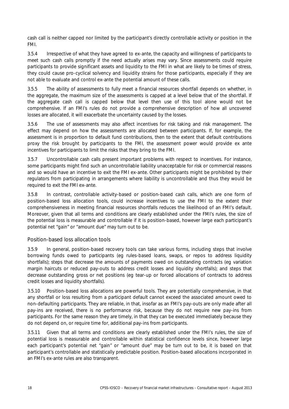cash call is neither capped nor limited by the participant's directly controllable activity or position in the FMI.

3.5.4 Irrespective of what they have agreed to ex-ante, the capacity and willingness of participants to meet such cash calls promptly if the need actually arises may vary. Since assessments could require participants to provide significant assets and liquidity to the FMI in what are likely to be times of stress, they could cause pro-cyclical solvency and liquidity strains for those participants, especially if they are not able to evaluate and control ex-ante the potential amount of these calls.

3.5.5 The ability of assessments to fully meet a financial resources shortfall depends on whether, in the aggregate, the maximum size of the assessments is capped at a level below that of the shortfall. If the aggregate cash call is capped below that level then use of this tool alone would not be comprehensive. If an FMI's rules do not provide a comprehensive description of how all uncovered losses are allocated, it will exacerbate the uncertainty caused by the losses.

3.5.6 The use of assessments may also affect incentives for risk taking and risk management. The effect may depend on how the assessments are allocated between participants. If, for example, the assessment is in proportion to default fund contributions, then to the extent that default contributions proxy the risk brought by participants to the FMI, the assessment power would provide ex ante incentives for participants to limit the risks that they bring to the FMI.

3.5.7 Uncontrollable cash calls present important problems with respect to incentives. For instance, some participants might find such an uncontrollable liability unacceptable for risk or commercial reasons and so would have an incentive to exit the FMI ex-ante. Other participants might be prohibited by their regulators from participating in arrangements where liability is uncontrollable and thus they would be required to exit the FMI ex-ante.

3.5.8 In contrast, controllable activity-based or position-based cash calls, which are one form of position-based loss allocation tools, could increase incentives to use the FMI to the extent their comprehensiveness in meeting financial resources shortfalls reduces the likelihood of an FMI's default. Moreover, given that all terms and conditions are clearly established under the FMI's rules, the size of the potential loss is measurable and controllable if it is position-based, however large each participant's potential net "gain" or "amount due" may turn out to be.

## Position-based loss allocation tools

3.5.9 In general, position-based recovery tools can take various forms, including steps that involve borrowing funds owed to participants (eg rules-based loans, swaps, or repos to address liquidity shortfalls); steps that decrease the amounts of payments owed on outstanding contracts (eg variation margin haircuts or reduced pay-outs to address credit losses and liquidity shortfalls); and steps that decrease outstanding gross or net positions (eg tear-up or forced allocations of contracts to address credit losses and liquidity shortfalls).

3.5.10 Position-based loss allocations are powerful tools. They are potentially comprehensive, in that any shortfall or loss resulting from a participant default cannot exceed the associated amount owed to non-defaulting participants. They are reliable, in that, insofar as an FMI's pay-outs are only made after all pay-ins are received, there is no performance risk, because they do not require new pay-ins from participants. For the same reason they are timely, in that they can be executed immediately because they do not depend on, or require time for, additional pay-ins from participants.

3.5.11 Given that all terms and conditions are clearly established under the FMI's rules, the size of potential loss is measurable and controllable within statistical confidence levels since, however large each participant's potential net "gain" or "amount due" may be turn out to be, it is based on that participant's controllable and statistically predictable position. Position-based allocations incorporated in an FMI's ex-ante rules are also transparent.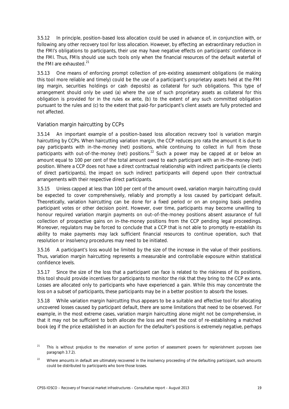3.5.12 In principle, position-based loss allocation could be used in advance of, in conjunction with, or following any other recovery tool for loss allocation. However, by effecting an extraordinary reduction in the FMI's obligations to participants, their use may have negative effects on participants' confidence in the FMI. Thus, FMIs should use such tools only when the financial resources of the default waterfall of the FMI are exhausted.<sup>[21](#page-24-0)</sup>

3.5.13 One means of enforcing prompt collection of pre-existing assessment obligations (ie making this tool more reliable and timely) could be the use of a participant's proprietary assets held at the FMI (eg margin, securities holdings or cash deposits) as collateral for such obligations. This type of arrangement should only be used (a) where the use of such proprietary assets as collateral for this obligation is provided for in the rules ex ante, (b) to the extent of any such committed obligation pursuant to the rules and (c) to the extent that paid-for participant's client assets are fully protected and not affected.

#### Variation margin haircutting by CCPs

3.5.14 An important example of a position-based loss allocation recovery tool is variation margin haircutting by CCPs. When haircutting variation margin, the CCP reduces pro rata the amount it is due to pay participants with in-the-money (net) positions, while continuing to collect in full from those participants with out-of-the-money (net) positions.<sup>[22](#page-24-1)</sup> Such a power may be capped at or below an amount equal to 100 per cent of the total amount owed to each participant with an in-the-money (net) position. Where a CCP does not have a direct contractual relationship with indirect participants (ie clients of direct participants), the impact on such indirect participants will depend upon their contractual arrangements with their respective direct participants.

3.5.15 Unless capped at less than 100 per cent of the amount owed, variation margin haircutting could be expected to cover comprehensively, reliably and promptly a loss caused by participant default. Theoretically, variation haircutting can be done for a fixed period or on an ongoing basis pending participant votes or other decision point. However, over time, participants may become unwilling to honour required variation margin payments on out–of-the-money positions absent assurance of full collection of prospective gains on in-the-money positions from the CCP pending legal proceedings. Moreover, regulators may be forced to conclude that a CCP that is not able to promptly re-establish its ability to make payments may lack sufficient financial resources to continue operation, such that resolution or insolvency procedures may need to be initiated.

3.5.16 A participant's loss would be limited by the size of the increase in the value of their positions. Thus, variation margin haircutting represents a measurable and controllable exposure within statistical confidence levels.

3.5.17 Since the size of the loss that a participant can face is related to the riskiness of its positions, this tool should provide incentives for participants to monitor the risk that they bring to the CCP ex ante. Losses are allocated only to participants who have experienced a gain. While this may concentrate the loss on a subset of participants, these participants may be in a better position to absorb the losses.

3.5.18 While variation margin haircutting thus appears to be a suitable and effective tool for allocating uncovered losses caused by participant default, there are some limitations that need to be observed. For example, in the most extreme cases, variation margin haircutting alone might not be comprehensive, in that it may not be sufficient to both allocate the loss and meet the cost of re-establishing a matched book (eg if the price established in an auction for the defaulter's positions is extremely negative, perhaps

<span id="page-24-0"></span><sup>&</sup>lt;sup>21</sup> This is without prejudice to the reservation of some portion of assessment powers for replenishment purposes (see paragraph 3.7.2).

<span id="page-24-1"></span><sup>&</sup>lt;sup>22</sup> Where amounts in default are ultimately recovered in the insolvency proceeding of the defaulting participant, such amounts could be distributed to participants who bore those losses.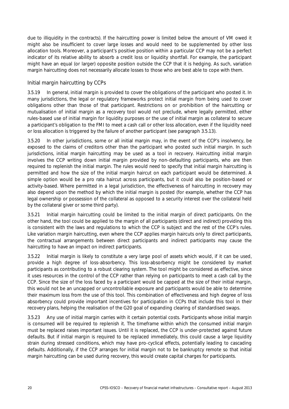due to illiquidity in the contracts). If the haircutting power is limited below the amount of VM owed it might also be insufficient to cover large losses and would need to be supplemented by other loss allocation tools. Moreover, a participant's positive position within a particular CCP may not be a perfect indicator of its relative ability to absorb a credit loss or liquidity shortfall. For example, the participant might have an equal (or larger) opposite position outside the CCP that it is hedging. As such, variation margin haircutting does not necessarily allocate losses to those who are best able to cope with them.

#### Initial margin haircutting by CCPs

3.5.19 In general, initial margin is provided to cover the obligations of the participant who posted it. In many jurisdictions, the legal or regulatory frameworks protect initial margin from being used to cover obligations other than those of that participant. Restrictions on or prohibition of the haircutting or mutualisation of initial margin as a recovery tool would not preclude, where legally permitted, either rules-based use of initial margin for liquidity purposes or the use of initial margin as collateral to secure a participant's obligation to the FMI to meet a cash call or other loss allocation, even if the liquidity need or loss allocation is triggered by the failure of another participant (see paragraph 3.5.13).

3.5.20 In other jurisdictions, some or all initial margin may, in the event of the CCP's insolvency, be exposed to the claims of creditors other than the participant who posted such initial margin. In such jurisdictions, initial margin haircutting may be used as a tool in recovery. Haircutting initial margin involves the CCP writing down initial margin provided by non-defaulting participants, who are then required to replenish the initial margin. The rules would need to specify that initial margin haircutting is permitted and how the size of the initial margin haircut on each participant would be determined. A simple option would be a pro rata haircut across participants, but it could also be position-based or activity-based. Where permitted in a legal jurisdiction, the effectiveness of haircutting in recovery may also depend upon the method by which the initial margin is posted (for example, whether the CCP has legal ownership or possession of the collateral as opposed to a security interest over the collateral held by the collateral giver or some third party).

3.5.21 Initial margin haircutting could be limited to the initial margin of direct participants. On the other hand, the tool could be applied to the margin of all participants (direct and indirect) providing this is consistent with the laws and regulations to which the CCP is subject and the rest of the CCP's rules. Like variation margin haircutting, even where the CCP applies margin haircuts only to direct participants, the contractual arrangements between direct participants and indirect participants may cause the haircutting to have an impact on indirect participants.

3.5.22 Initial margin is likely to constitute a very large pool of assets which would, if it can be used, provide a high degree of loss-absorbency. This loss-absorbency might be considered by market participants as contributing to a robust clearing system. The tool might be considered as effective, since it uses resources in the control of the CCP rather than relying on participants to meet a cash call by the CCP. Since the size of the loss faced by a participant would be capped at the size of their initial margin, this would not be an uncapped or uncontrollable exposure and participants would be able to determine their maximum loss from the use of this tool. This combination of effectiveness and high degree of loss absorbency could provide important incentives for participation in CCPs that include this tool in their recovery plans, helping the realisation of the G20 goal of expanding clearing of standardised swaps.

3.5.23 Any use of initial margin carries with it certain potential costs. Participants whose initial margin is consumed will be required to replenish it. The timeframe within which the consumed initial margin must be replaced raises important issues. Until it is replaced, the CCP is under-protected against future defaults. But if initial margin is required to be replaced immediately, this could cause a large liquidity strain during stressed conditions, which may have pro-cyclical effects, potentially leading to cascading defaults. Additionally, if the CCP arranges for initial margin not to be bankruptcy remote so that initial margin haircutting can be used during recovery, this would create capital charges for participants.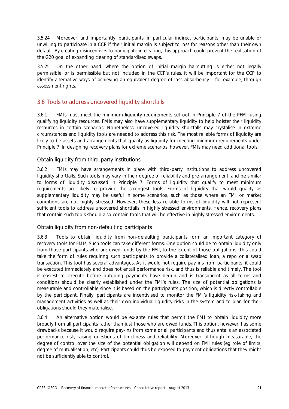3.5.24 Moreover, and importantly, participants, in particular indirect participants, may be unable or unwilling to participate in a CCP if their initial margin is subject to loss for reasons other than their own default. By creating disincentives to participate in clearing, this approach could prevent the realisation of the G20 goal of expanding clearing of standardised swaps.

3.5.25 On the other hand, where the option of initial margin haircutting is either not legally permissible, or is permissible but not included in the CCP's rules, it will be important for the CCP to identify alternative ways of achieving an equivalent degree of loss absorbency – for example, through assessment rights.

# <span id="page-26-0"></span>3.6 Tools to address uncovered liquidity shortfalls

3.6.1 FMIs must meet the minimum liquidity requirements set out in Principle 7 of the PFMI using qualifying liquidity resources. FMIs may also have supplementary liquidity to help bolster their liquidity resources in certain scenarios. Nonetheless, uncovered liquidity shortfalls may crystalise in extreme circumstances and liquidity tools are needed to address this risk. The most reliable forms of liquidity are likely to be assets and arrangements that qualify as liquidity for meeting minimum requirements under Principle 7. In designing recovery plans for extreme scenarios, however, FMIs may need additional tools.

## Obtain liquidity from third-party institutions

3.6.2 FMIs may have arrangements in place with third-party institutions to address uncovered liquidity shortfalls. Such tools may vary in their degree of reliability and pre-arrangement, and be similar to forms of liquidity discussed in Principle 7. Forms of liquidity that qualify to meet minimum requirements are likely to provide the strongest tools. Forms of liquidity that would qualify as supplementary liquidity may be useful in some scenarios, such as those where an FMI or market conditions are not highly stressed. However, these less reliable forms of liquidity will not represent sufficient tools to address uncovered shortfalls in highly stressed environments. Hence, recovery plans that contain such tools should also contain tools that will be effective in highly stressed environments.

## Obtain liquidity from non-defaulting participants

3.6.3 Tools to obtain liquidity from non-defaulting participants form an important category of recovery tools for FMIs. Such tools can take different forms. One option could be to obtain liquidity only from those participants who are owed funds by the FMI, to the extent of those obligations. This could take the form of rules requiring such participants to provide a collateralised loan, a repo or a swap transaction. This tool has several advantages. As it would not require pay-ins from participants, it could be executed immediately and does not entail performance risk, and thus is reliable and timely. The tool is easiest to execute before outgoing payments have begun and is transparent as all terms and conditions should be clearly established under the FMI's rules. The size of potential obligations is measurable and controllable since it is based on the participant's position, which is directly controllable by the participant. Finally, participants are incentivised to monitor the FMI's liquidity risk-taking and management activities as well as their own individual liquidity risks in the system and to plan for their obligations should they materialise.

3.6.4 An alternative option would be ex-ante rules that permit the FMI to obtain liquidity more broadly from all participants rather than just those who are owed funds. This option, however, has some drawbacks because it would require pay-ins from some or all participants and thus entails an associated performance risk, raising questions of timeliness and reliability. Moreover, although measurable, the degree of control over the size of the potential obligation will depend on FMI rules (eg role of limits, degree of mutualisation, etc). Participants could thus be exposed to payment obligations that they might not be sufficiently able to control.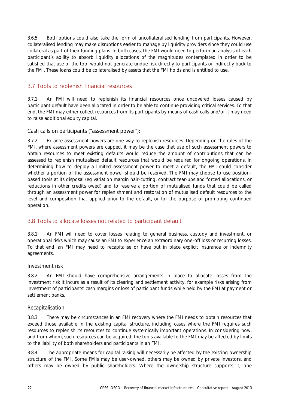3.6.5 Both options could also take the form of uncollateralised lending from participants. However, collateralised lending may make disruptions easier to manage by liquidity providers since they could use collateral as part of their funding plans. In both cases, the FMI would need to perform an analysis of each participant's ability to absorb liquidity allocations of the magnitudes contemplated in order to be satisfied that use of the tool would not generate undue risk directly to participants or indirectly back to the FMI. These loans could be collateralised by assets that the FMI holds and is entitled to use.

# <span id="page-27-0"></span>3.7 Tools to replenish financial resources

3.7.1 An FMI will need to replenish its financial resources once uncovered losses caused by participant default have been allocated in order to be able to continue providing critical services. To that end, the FMI may either collect resources from its participants by means of cash calls and/or it may need to raise additional equity capital.

Cash calls on participants ("assessment power"):

3.7.2 Ex-ante assessment powers are one way to replenish resources. Depending on the rules of the FMI, where assessment powers are capped, it may be the case that use of such assessment powers to obtain resources to meet existing defaults would reduce the amount of contributions that can be assessed to replenish mutualised default resources that would be required for ongoing operations. In determining how to deploy a limited assessment power to meet a default, the FMI could consider whether a portion of the assessment power should be reserved. The FMI may choose to use positionbased tools at its disposal (eg variation margin hair-cutting, contract tear-ups and forced allocations, or reductions in other credits owed) and to reserve a portion of mutualised funds that could be called through an assessment power for replenishment and restoration of mutualised default resources to the level and composition that applied prior to the default, or for the purpose of promoting continued operation.

# <span id="page-27-1"></span>3.8 Tools to allocate losses not related to participant default

3.8.1 An FMI will need to cover losses relating to general business, custody and investment, or operational risks which may cause an FMI to experience an extraordinary one-off loss or recurring losses. To that end, an FMI may need to recapitalise or have put in place explicit insurance or indemnity agreements.

## Investment risk

3.8.2 An FMI should have comprehensive arrangements in place to allocate losses from the investment risk it incurs as a result of its clearing and settlement activity, for example risks arising from investment of participants' cash margins or loss of participant funds while held by the FMI at payment or settlement banks.

## Recapitalisation

3.8.3 There may be circumstances in an FMI recovery where the FMI needs to obtain resources that exceed those available in the existing capital structure, including cases where the FMI requires such resources to replenish its resources to continue systemically important operations. In considering how, and from whom, such resources can be acquired, the tools available to the FMI may be affected by limits to the liability of both shareholders and participants in an FMI.

3.8.4 The appropriate means for capital raising will necessarily be affected by the existing ownership structure of the FMI. Some FMIs may be user-owned, others may be owned by private investors, and others may be owned by public shareholders. Where the ownership structure supports it, one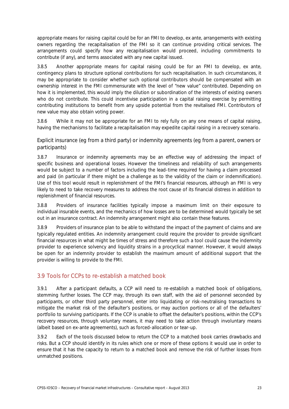appropriate means for raising capital could be for an FMI to develop, ex ante, arrangements with existing owners regarding the recapitalisation of the FMI so it can continue providing critical services. The arrangements could specify how any recapitalisation would proceed, including commitments to contribute (if any), and terms associated with any new capital issued.

3.8.5 Another appropriate means for capital raising could be for an FMI to develop, ex ante, contingency plans to structure optional contributions for such recapitalisation. In such circumstances, it may be appropriate to consider whether such optional contributors should be compensated with an ownership interest in the FMI commensurate with the level of "new value" contributed. Depending on how it is implemented, this would imply the dilution or subordination of the interests of existing owners who do not contribute. This could incentivise participation in a capital raising exercise by permitting contributing institutions to benefit from any upside potential from the revitalised FMI. Contributors of new value may also obtain voting power.

3.8.6 While it may not be appropriate for an FMI to rely fully on any one means of capital raising, having the mechanisms to facilitate a recapitalisation may expedite capital raising in a recovery scenario.

Explicit insurance (eg from a third party) or indemnity agreements (eg from a parent, owners or participants)

3.8.7 Insurance or indemnity agreements may be an effective way of addressing the impact of specific business and operational losses. However the timeliness and reliability of such arrangements would be subject to a number of factors including the lead-time required for having a claim processed and paid (in particular if there might be a challenge as to the validity of the claim or indemnification). Use of this tool would result in replenishment of the FMI's financial resources, although an FMI is very likely to need to take recovery measures to address the root cause of its financial distress in addition to replenishment of financial resources.

3.8.8 Providers of insurance facilities typically impose a maximum limit on their exposure to individual insurable events, and the mechanics of how losses are to be determined would typically be set out in an insurance contract. An indemnity arrangement might also contain these features.

3.8.9 Providers of insurance plan to be able to withstand the impact of the payment of claims and are typically regulated entities. An indemnity arrangement could require the provider to provide significant financial resources in what might be times of stress and therefore such a tool could cause the indemnity provider to experience solvency and liquidity strains in a procyclical manner. However, it would always be open for an indemnity provider to establish the maximum amount of additional support that the provider is willing to provide to the FMI.

# <span id="page-28-0"></span>3.9 Tools for CCPs to re-establish a matched book

3.9.1 After a participant defaults, a CCP will need to re-establish a matched book of obligations, stemming further losses. The CCP may, through its own staff, with the aid of personnel seconded by participants, or other third party personnel, enter into liquidating or risk-neutralising transactions to mitigate the market risk of the defaulter's positions, or may auction portions or all of the defaulters' portfolio to surviving participants. If the CCP is unable to offset the defaulter's positions, within the CCP's recovery resources, through voluntary means, it may need to take action through involuntary means (albeit based on ex-ante agreements), such as forced-allocation or tear-up.

3.9.2 Each of the tools discussed below to return the CCP to a matched book carries drawbacks and risks. But a CCP should identify in its rules which one or more of these options it would use in order to ensure that it has the capacity to return to a matched book and remove the risk of further losses from unmatched positions.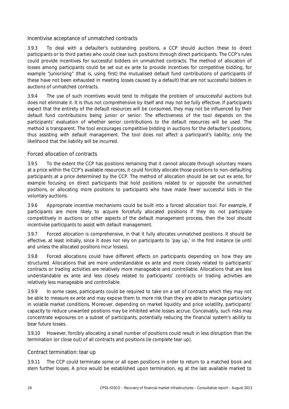## Incentivise acceptance of unmatched contracts

3.9.3 To deal with a defaulter's outstanding positions, a CCP should auction these to direct participants or to third parties who could clear such positions through direct participants. The CCP's rules could provide incentives for successful bidders on unmatched contracts. The method of allocation of losses among participants could be set out ex ante to provide incentives for competitive bidding, for example "juniorising" (that is, using first) the mutualised default fund contributions of participants (if these have not been exhausted in meeting losses caused by a default) that are not successful bidders in auctions of unmatched contracts.

3.9.4 The use of such incentives would tend to mitigate the problem of unsuccessful auctions but does not eliminate it. It is thus not comprehensive by itself and may not be fully effective. If participants expect that the entirety of the default resources will be consumed, they may not be influenced by their default fund contributions being junior or senior. The effectiveness of the tool depends on the participants' evaluation of whether senior contributions to the default resources will be used. The method is transparent. The tool encourages competitive bidding in auctions for the defaulter's positions, thus assisting with default management. The tool does not affect a participant's liability, only the likelihood that the liability will be incurred.

## Forced allocation of contracts

3.9.5 To the extent the CCP has positions remaining that it cannot allocate through voluntary means at a price within the CCP's available resources, it could forcibly allocate those positions to non-defaulting participants at a price determined by the CCP. The method of allocation should be set out ex ante, for example focusing on direct participants that hold positions related to or opposite the unmatched positions, or allocating more positions to participants who have made fewer successful bids in the voluntary auctions.

3.9.6 Appropriate incentive mechanisms could be built into a forced allocation tool. For example, if participants are more likely to acquire forcefully allocated positions if they do not participate competitively in auctions or other aspects of the default management process, then the tool should incentivise participants to assist with default management.

3.9.7 Forced allocation is comprehensive, in that it fully allocates unmatched positions. It should be effective, at least initially, since it does not rely on participants to 'pay up,' in the first instance (ie until and unless the allocated positions incur losses).

3.9.8 Forced allocations could have different effects on participants depending on how they are structured. Allocations that are more understandable ex ante and more closely related to participants' contracts or trading activities are relatively more manageable and controllable. Allocations that are less understandable ex ante and less closely related to participants' contracts or trading activities are relatively less manageable and controllable.

3.9.9 In some cases, participants could be required to take on a set of contracts which they may not be able to measure ex ante and may expose them to more risk than they are able to manage particularly in volatile market conditions. Moreover, depending on market liquidity and price volatility, participants' capacity to reduce unwanted positions may be inhibited while losses accrue. Conceivably, such risks may concentrate exposures on a subset of participants, potentially reducing the financial system's ability to bear future losses.

3.9.10 However, forcibly allocating a small number of positions could result in less disruption than the termination (or close out) of all contracts and positions (ie complete tear up).

## Contract termination: tear up

3.9.11 The CCP could terminate some or all open positions in order to return to a matched book and stem further losses. A price would be established upon termination, eg at the last available marked to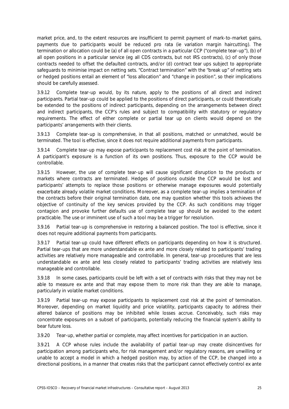market price, and, to the extent resources are insufficient to permit payment of mark-to-market gains, payments due to participants would be reduced pro rata (ie variation margin haircutting). The termination or allocation could be (a) of all open contracts in a particular CCP ("complete tear-up"), (b) of all open positions in a particular service (eg all CDS contracts, but not IRS contracts), (c) of only those contracts needed to offset the defaulted contracts, and/or (d) contract tear ups subject to appropriate safeguards to minimise impact on netting sets. "Contract termination" with the "break up" of netting sets or hedged positions entail an element of "loss allocation" and "change in position", so their implications should be carefully assessed.

3.9.12 Complete tear-up would, by its nature, apply to the positions of all direct and indirect participants. Partial tear-up could be applied to the positions of direct participants, or could theoretically be extended to the positions of indirect participants, depending on the arrangements between direct and indirect participants, the CCP's rules and subject to compatibility with statutory or regulatory requirements. The effect of either complete or partial tear up on clients would depend on the participants' arrangements with their clients.

3.9.13 Complete tear-up is comprehensive, in that all positions, matched or unmatched, would be terminated. The tool is effective, since it does not require additional payments from participants.

3.9.14 Complete tear-up may expose participants to replacement cost risk at the point of termination. A participant's exposure is a function of its own positions. Thus, exposure to the CCP would be controllable.

3.9.15 However, the use of complete tear-up will cause significant disruption to the products or markets where contracts are terminated. Hedges of positions outside the CCP would be lost and participants' attempts to replace those positions or otherwise manage exposures would potentially exacerbate already volatile market conditions. Moreover, as a complete tear-up implies a termination of the contracts before their original termination date, one may question whether this tools achieves the objective of continuity of the key services provided by the CCP. As such conditions may trigger contagion and provoke further defaults use of complete tear up should be avoided to the extent practicable. The use or imminent use of such a tool may be a trigger for resolution.

3.9.16 Partial tear-up is comprehensive in restoring a balanced position. The tool is effective, since it does not require additional payments from participants.

3.9.17 Partial tear-up could have different effects on participants depending on how it is structured. Partial tear-ups that are more understandable ex ante and more closely related to participants' trading activities are relatively more manageable and controllable. In general, tear-up procedures that are less understandable ex ante and less closely related to participants' trading activities are relatively less manageable and controllable.

3.9.18 In some cases, participants could be left with a set of contracts with risks that they may not be able to measure ex ante and that may expose them to more risk than they are able to manage, particularly in volatile market conditions.

3.9.19 Partial tear-up may expose participants to replacement cost risk at the point of termination. Moreover, depending on market liquidity and price volatility, participants capacity to address their altered balance of positions may be inhibited while losses accrue. Conceivably, such risks may concentrate exposures on a subset of participants, potentially reducing the financial system's ability to bear future loss.

3.9.20 Tear-up, whether partial or complete, may affect incentives for participation in an auction.

3.9.21 A CCP whose rules include the availability of partial tear-up may create disincentives for participation among participants who, for risk management and/or regulatory reasons, are unwilling or unable to accept a model in which a hedged position may, by action of the CCP, be changed into a directional positions, in a manner that creates risks that the participant cannot effectively control ex ante